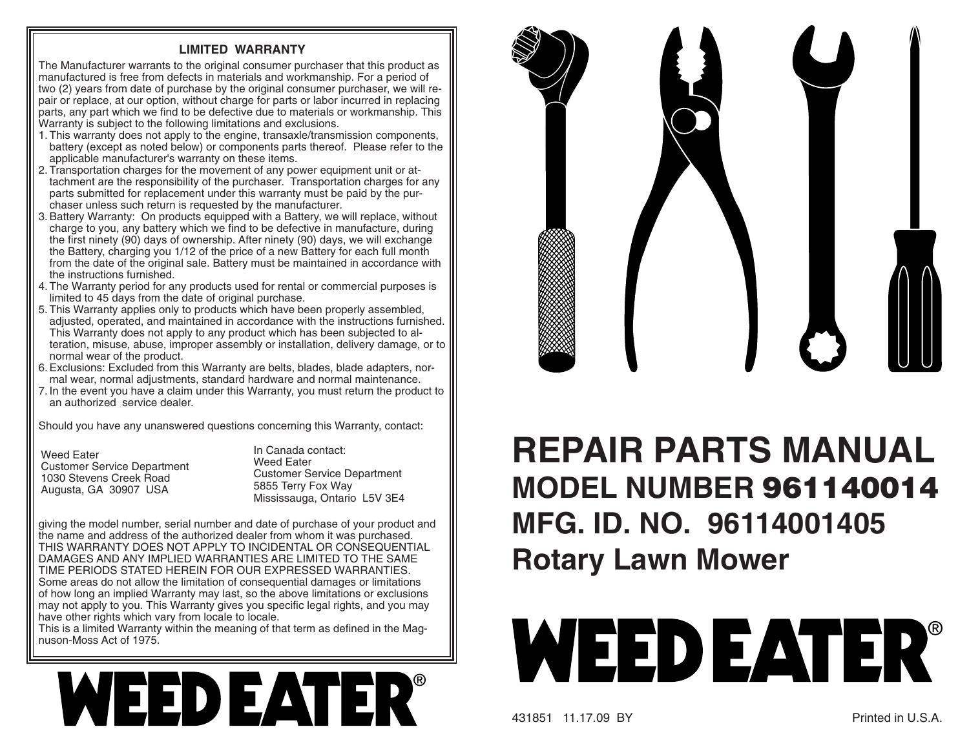## **LIMITED WARRANTY**

The Manufacturer warrants to the original consumer purchaser that this product as manufactured is free from defects in materials and workmanship. For a period of two (2) years from date of purchase by the original consumer purchaser, we will repair or replace, at our option, without charge for parts or labor incurred in replacing parts, any part which we find to be defective due to materials or work manship. This Warranty is subject to the following limitations and exclusions.

- 1. This warranty does not apply to the engine, transaxle/transmission components, battery (except as noted below) or components parts thereof. Please refer to the applicable manufacturer's warranty on these items.
- 2. Transportation charges for the movement of any power equipment unit or attachment are the responsibility of the purchaser. Transportation charges for any parts submitted for replacement under this warranty must be paid by the purchaser unless such return is requested by the manufacturer.
- 3. Battery Warranty: On products equipped with a Battery, we will replace, without charge to you, any battery which we find to be defective in manufacture, during the first ninety (90) days of ownership. After ninety (90) days, we will exchange the Battery, charging you 1/12 of the price of a new Battery for each full month from the date of the original sale. Battery must be maintained in accordance with the instructions furnished.
- 4. The Warranty period for any products used for rental or commercial purposes is limited to 45 days from the date of original purchase.
- 5. This Warranty applies only to products which have been properly assembled, adjusted, operated, and maintained in accordance with the instructions furnished. This Warranty does not apply to any product which has been subjected to alteration, misuse, abuse, improper assembly or installation, delivery damage, or to normal wear of the product.
- 6. Exclusions: Excluded from this Warranty are belts, blades, blade adapters, normal wear, normal adjustments, standard hardware and normal maintenance.
- 7. In the event you have a claim under this Warranty, you must return the product to an authorized service dealer.

Should you have any unanswered questions concerning this Warranty, contact:

Weed Eater Customer Service Department 1030 Stevens Creek RoadAugusta, GA 30907 USA

In Canada contact:Weed Eater Customer Service Department 5855 Terry Fox Way Mississauga, Ontario L5V 3E4

giving the model number, serial number and date of purchase of your product and the name and address of the authorized dealer from whom it was purchased. THIS WARRANTY DOES NOT APPLY TO INCIDENTAL OR CONSEQUENTIAL DAMAGES AND ANY IMPLIED WARRANTIES ARE LIMITED TO THE SAME TIME PERIODS STATED HEREIN FOR OUR EXPRESSED WARRANTIES. Some areas do not allow the limitation of consequential damages or limitations of how long an implied Warranty may last, so the above limitations or exclusions may not apply to you. This Warranty gives you specific legal rights, and you may have other rights which vary from locale to locale.

This is a limited Warranty within the meaning of that term as defined in the Magnuson-Moss Act of 1975.





## **REPAIR PARTS MANUALMODEL NUMBER 961140014MFG. ID. NO. 96114001405 Rotary Lawn Mower**